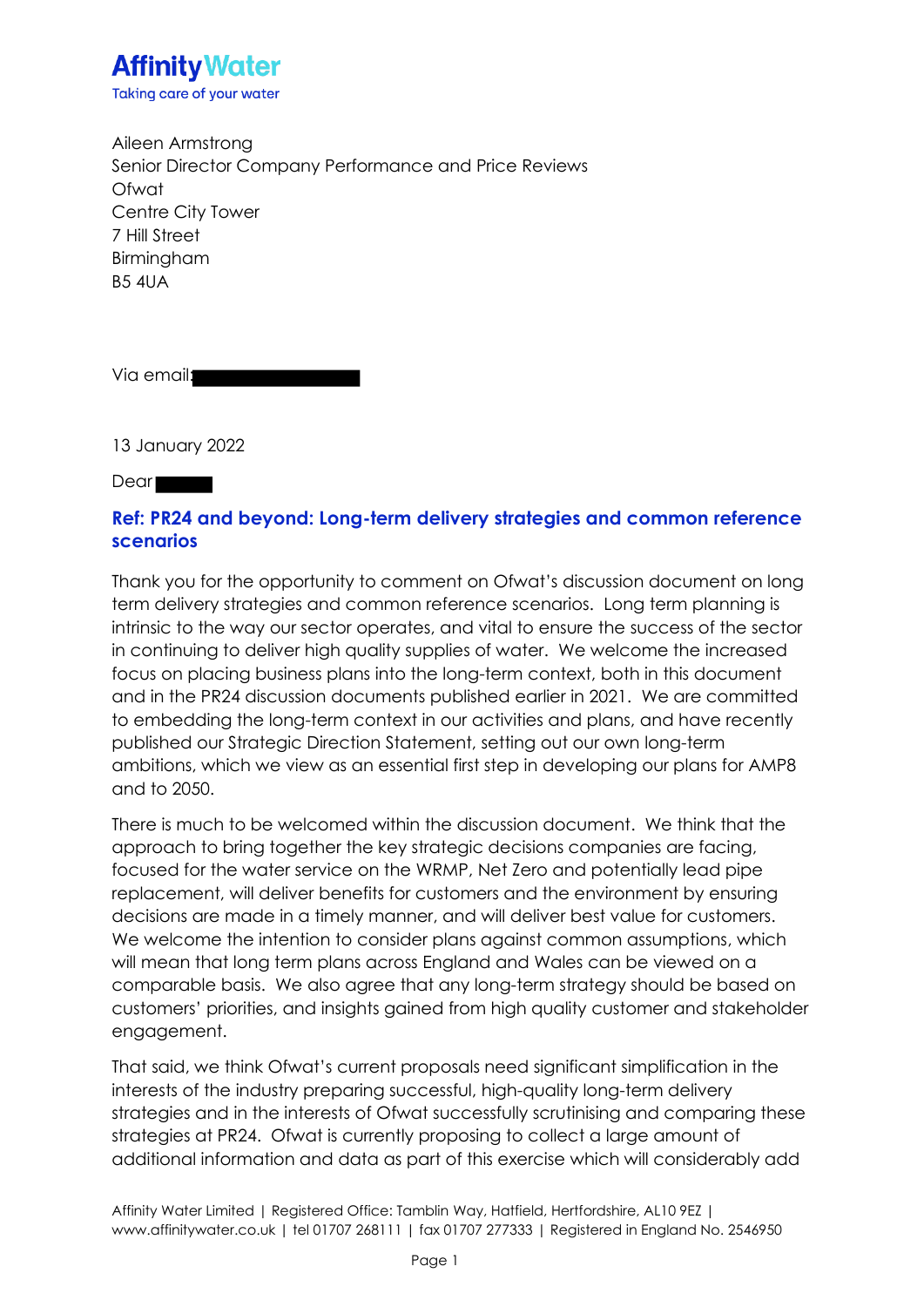

Aileen Armstrong Senior Director Company Performance and Price Reviews Ofwat Centre City Tower 7 Hill Street Birmingham B5 4UA

Via email:

13 January 2022

**Dear** 

#### **Ref: PR24 and beyond: Long-term delivery strategies and common reference scenarios**

Thank you for the opportunity to comment on Ofwat's discussion document on long term delivery strategies and common reference scenarios. Long term planning is intrinsic to the way our sector operates, and vital to ensure the success of the sector in continuing to deliver high quality supplies of water. We welcome the increased focus on placing business plans into the long-term context, both in this document and in the PR24 discussion documents published earlier in 2021. We are committed to embedding the long-term context in our activities and plans, and have recently published our Strategic Direction Statement, setting out our own long-term ambitions, which we view as an essential first step in developing our plans for AMP8 and to 2050.

There is much to be welcomed within the discussion document. We think that the approach to bring together the key strategic decisions companies are facing, focused for the water service on the WRMP, Net Zero and potentially lead pipe replacement, will deliver benefits for customers and the environment by ensuring decisions are made in a timely manner, and will deliver best value for customers. We welcome the intention to consider plans against common assumptions, which will mean that long term plans across England and Wales can be viewed on a comparable basis. We also agree that any long-term strategy should be based on customers' priorities, and insights gained from high quality customer and stakeholder engagement.

That said, we think Ofwat's current proposals need significant simplification in the interests of the industry preparing successful, high-quality long-term delivery strategies and in the interests of Ofwat successfully scrutinising and comparing these strategies at PR24. Ofwat is currently proposing to collect a large amount of additional information and data as part of this exercise which will considerably add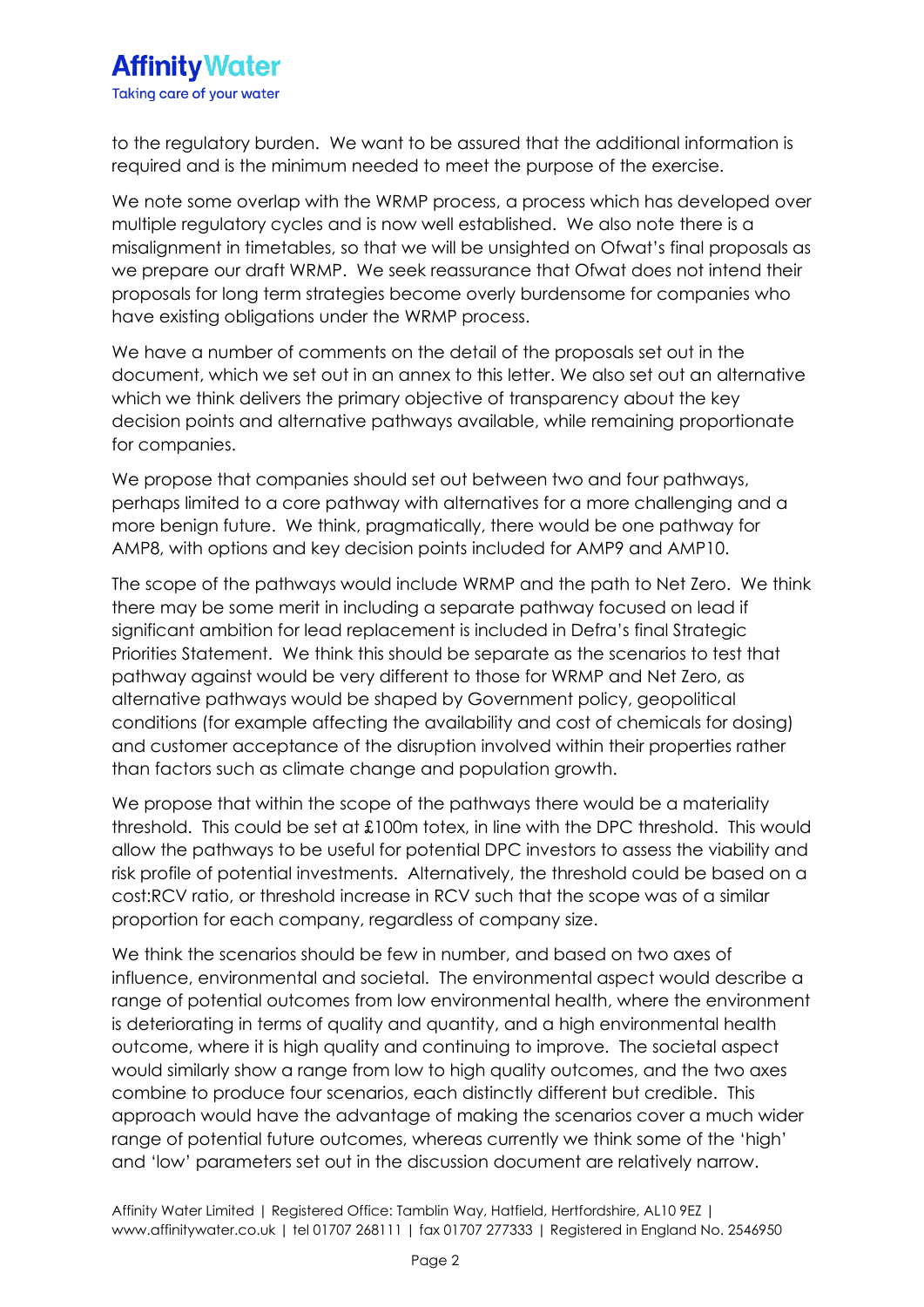# **Affinity Water** Taking care of your water

to the regulatory burden. We want to be assured that the additional information is required and is the minimum needed to meet the purpose of the exercise.

We note some overlap with the WRMP process, a process which has developed over multiple regulatory cycles and is now well established. We also note there is a misalignment in timetables, so that we will be unsighted on Ofwat's final proposals as we prepare our draft WRMP. We seek reassurance that Ofwat does not intend their proposals for long term strategies become overly burdensome for companies who have existing obligations under the WRMP process.

We have a number of comments on the detail of the proposals set out in the document, which we set out in an annex to this letter. We also set out an alternative which we think delivers the primary objective of transparency about the key decision points and alternative pathways available, while remaining proportionate for companies.

We propose that companies should set out between two and four pathways, perhaps limited to a core pathway with alternatives for a more challenging and a more benign future. We think, pragmatically, there would be one pathway for AMP8, with options and key decision points included for AMP9 and AMP10.

The scope of the pathways would include WRMP and the path to Net Zero. We think there may be some merit in including a separate pathway focused on lead if significant ambition for lead replacement is included in Defra's final Strategic Priorities Statement. We think this should be separate as the scenarios to test that pathway against would be very different to those for WRMP and Net Zero, as alternative pathways would be shaped by Government policy, geopolitical conditions (for example affecting the availability and cost of chemicals for dosing) and customer acceptance of the disruption involved within their properties rather than factors such as climate change and population growth.

We propose that within the scope of the pathways there would be a materiality threshold. This could be set at £100m totex, in line with the DPC threshold. This would allow the pathways to be useful for potential DPC investors to assess the viability and risk profile of potential investments. Alternatively, the threshold could be based on a cost:RCV ratio, or threshold increase in RCV such that the scope was of a similar proportion for each company, regardless of company size.

We think the scenarios should be few in number, and based on two axes of influence, environmental and societal. The environmental aspect would describe a range of potential outcomes from low environmental health, where the environment is deteriorating in terms of quality and quantity, and a high environmental health outcome, where it is high quality and continuing to improve. The societal aspect would similarly show a range from low to high quality outcomes, and the two axes combine to produce four scenarios, each distinctly different but credible. This approach would have the advantage of making the scenarios cover a much wider range of potential future outcomes, whereas currently we think some of the 'high' and 'low' parameters set out in the discussion document are relatively narrow.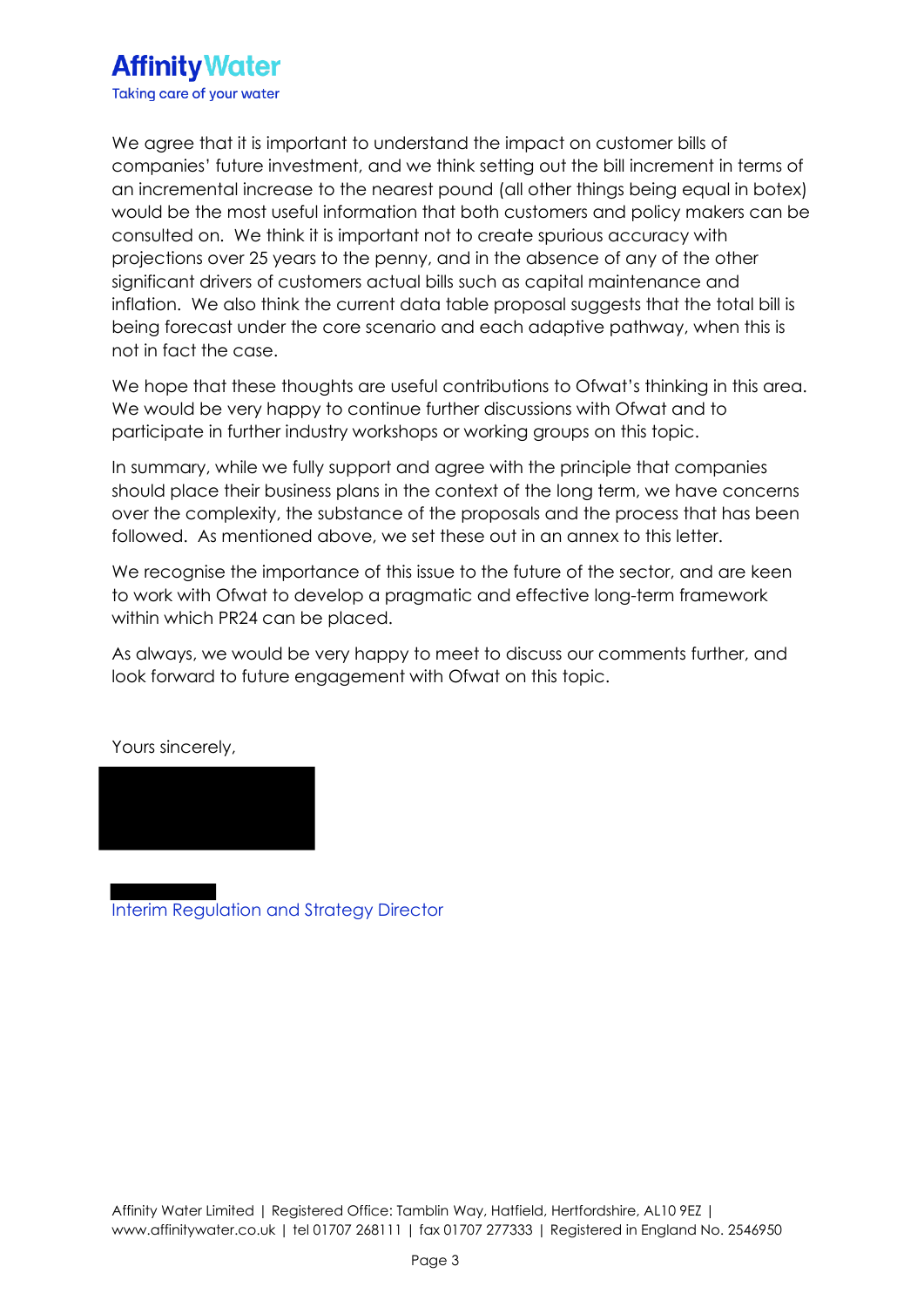

We agree that it is important to understand the impact on customer bills of companies' future investment, and we think setting out the bill increment in terms of an incremental increase to the nearest pound (all other things being equal in botex) would be the most useful information that both customers and policy makers can be consulted on. We think it is important not to create spurious accuracy with projections over 25 years to the penny, and in the absence of any of the other significant drivers of customers actual bills such as capital maintenance and inflation. We also think the current data table proposal suggests that the total bill is being forecast under the core scenario and each adaptive pathway, when this is not in fact the case.

We hope that these thoughts are useful contributions to Ofwat's thinking in this area. We would be very happy to continue further discussions with Ofwat and to participate in further industry workshops or working groups on this topic.

In summary, while we fully support and agree with the principle that companies should place their business plans in the context of the long term, we have concerns over the complexity, the substance of the proposals and the process that has been followed. As mentioned above, we set these out in an annex to this letter.

We recognise the importance of this issue to the future of the sector, and are keen to work with Ofwat to develop a pragmatic and effective long-term framework within which PR24 can be placed.

As always, we would be very happy to meet to discuss our comments further, and look forward to future engagement with Ofwat on this topic.

Yours sincerely,

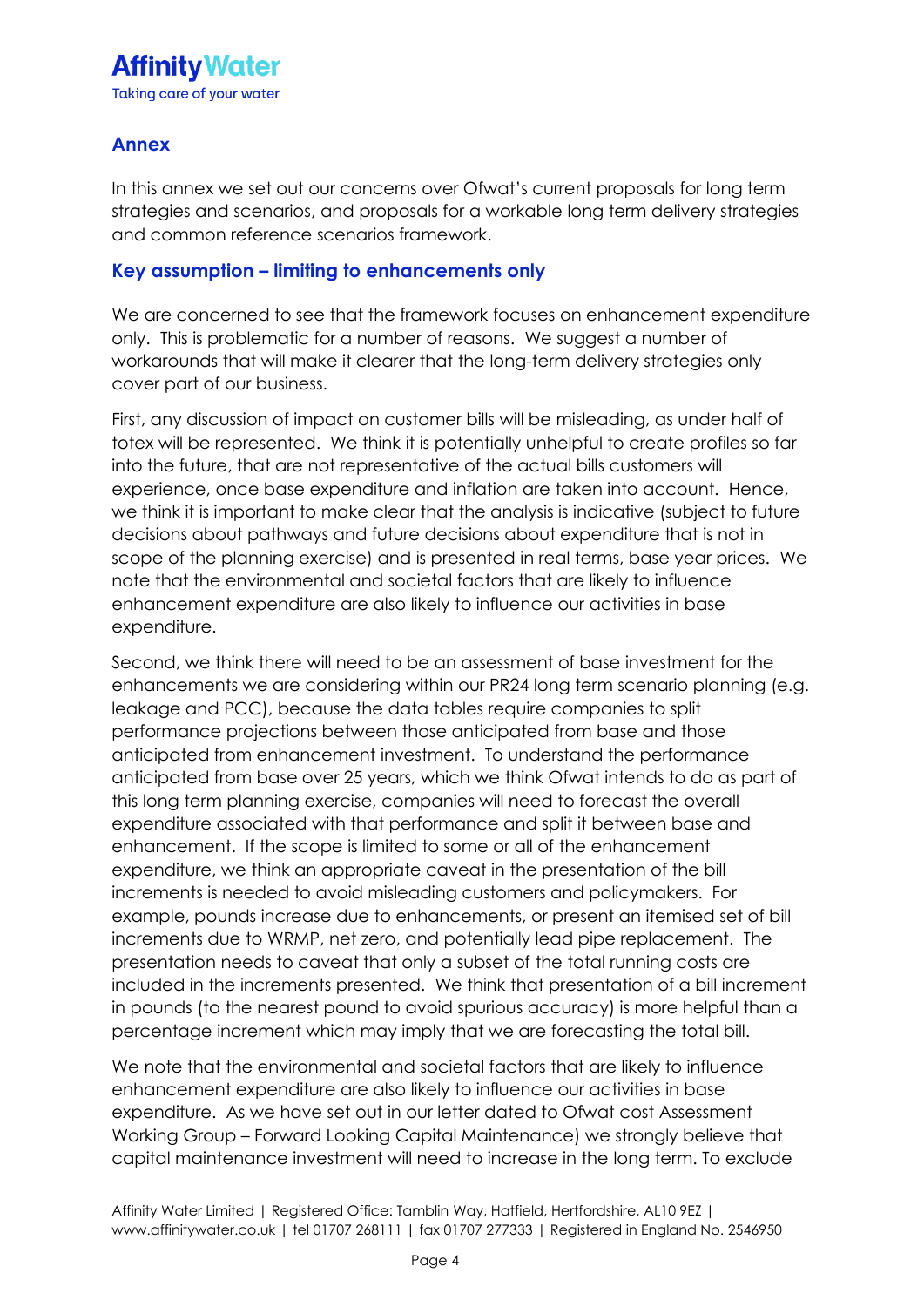### **Annex**

In this annex we set out our concerns over Ofwat's current proposals for long term strategies and scenarios, and proposals for a workable long term delivery strategies and common reference scenarios framework.

### **Key assumption – limiting to enhancements only**

We are concerned to see that the framework focuses on enhancement expenditure only. This is problematic for a number of reasons. We suggest a number of workarounds that will make it clearer that the long-term delivery strategies only cover part of our business.

First, any discussion of impact on customer bills will be misleading, as under half of totex will be represented. We think it is potentially unhelpful to create profiles so far into the future, that are not representative of the actual bills customers will experience, once base expenditure and inflation are taken into account. Hence, we think it is important to make clear that the analysis is indicative (subject to future decisions about pathways and future decisions about expenditure that is not in scope of the planning exercise) and is presented in real terms, base year prices. We note that the environmental and societal factors that are likely to influence enhancement expenditure are also likely to influence our activities in base expenditure.

Second, we think there will need to be an assessment of base investment for the enhancements we are considering within our PR24 long term scenario planning (e.g. leakage and PCC), because the data tables require companies to split performance projections between those anticipated from base and those anticipated from enhancement investment. To understand the performance anticipated from base over 25 years, which we think Ofwat intends to do as part of this long term planning exercise, companies will need to forecast the overall expenditure associated with that performance and split it between base and enhancement. If the scope is limited to some or all of the enhancement expenditure, we think an appropriate caveat in the presentation of the bill increments is needed to avoid misleading customers and policymakers. For example, pounds increase due to enhancements, or present an itemised set of bill increments due to WRMP, net zero, and potentially lead pipe replacement. The presentation needs to caveat that only a subset of the total running costs are included in the increments presented. We think that presentation of a bill increment in pounds (to the nearest pound to avoid spurious accuracy) is more helpful than a percentage increment which may imply that we are forecasting the total bill.

We note that the environmental and societal factors that are likely to influence enhancement expenditure are also likely to influence our activities in base expenditure. As we have set out in our letter dated to Ofwat cost Assessment Working Group – Forward Looking Capital Maintenance) we strongly believe that capital maintenance investment will need to increase in the long term. To exclude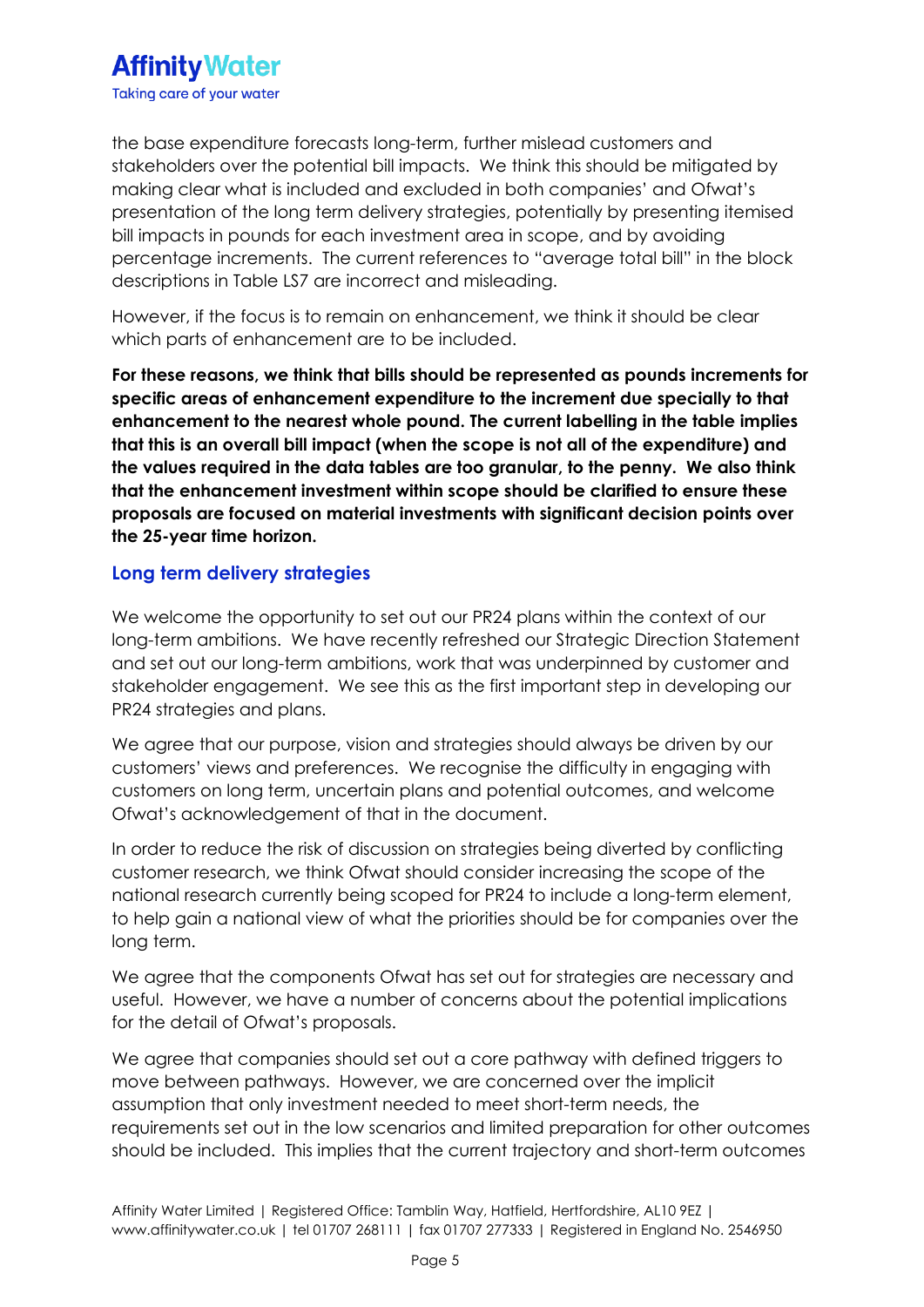the base expenditure forecasts long-term, further mislead customers and stakeholders over the potential bill impacts. We think this should be mitigated by making clear what is included and excluded in both companies' and Ofwat's presentation of the long term delivery strategies, potentially by presenting itemised bill impacts in pounds for each investment area in scope, and by avoiding percentage increments. The current references to "average total bill" in the block descriptions in Table LS7 are incorrect and misleading.

However, if the focus is to remain on enhancement, we think it should be clear which parts of enhancement are to be included.

**For these reasons, we think that bills should be represented as pounds increments for specific areas of enhancement expenditure to the increment due specially to that enhancement to the nearest whole pound. The current labelling in the table implies that this is an overall bill impact (when the scope is not all of the expenditure) and the values required in the data tables are too granular, to the penny. We also think that the enhancement investment within scope should be clarified to ensure these proposals are focused on material investments with significant decision points over the 25-year time horizon.**

#### **Long term delivery strategies**

We welcome the opportunity to set out our PR24 plans within the context of our long-term ambitions. We have recently refreshed our Strategic Direction Statement and set out our long-term ambitions, work that was underpinned by customer and stakeholder engagement. We see this as the first important step in developing our PR24 strategies and plans.

We agree that our purpose, vision and strategies should always be driven by our customers' views and preferences. We recognise the difficulty in engaging with customers on long term, uncertain plans and potential outcomes, and welcome Ofwat's acknowledgement of that in the document.

In order to reduce the risk of discussion on strategies being diverted by conflicting customer research, we think Ofwat should consider increasing the scope of the national research currently being scoped for PR24 to include a long-term element, to help gain a national view of what the priorities should be for companies over the long term.

We agree that the components Ofwat has set out for strategies are necessary and useful. However, we have a number of concerns about the potential implications for the detail of Ofwat's proposals.

We agree that companies should set out a core pathway with defined triggers to move between pathways. However, we are concerned over the implicit assumption that only investment needed to meet short-term needs, the requirements set out in the low scenarios and limited preparation for other outcomes should be included. This implies that the current trajectory and short-term outcomes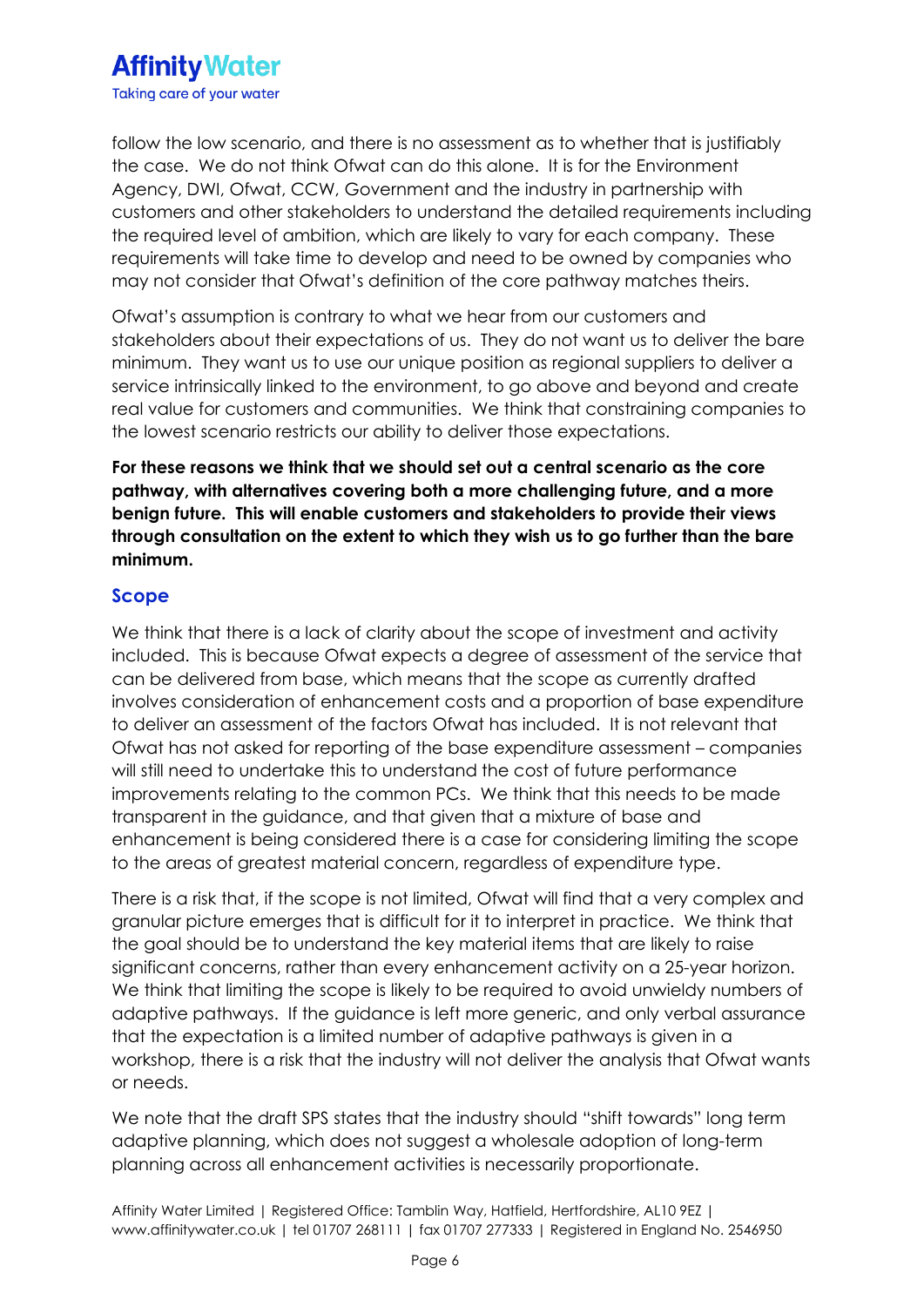

follow the low scenario, and there is no assessment as to whether that is justifiably the case. We do not think Ofwat can do this alone. It is for the Environment Agency, DWI, Ofwat, CCW, Government and the industry in partnership with customers and other stakeholders to understand the detailed requirements including the required level of ambition, which are likely to vary for each company. These requirements will take time to develop and need to be owned by companies who may not consider that Ofwat's definition of the core pathway matches theirs.

Ofwat's assumption is contrary to what we hear from our customers and stakeholders about their expectations of us. They do not want us to deliver the bare minimum. They want us to use our unique position as regional suppliers to deliver a service intrinsically linked to the environment, to go above and beyond and create real value for customers and communities. We think that constraining companies to the lowest scenario restricts our ability to deliver those expectations.

**For these reasons we think that we should set out a central scenario as the core pathway, with alternatives covering both a more challenging future, and a more benign future. This will enable customers and stakeholders to provide their views through consultation on the extent to which they wish us to go further than the bare minimum.**

#### **Scope**

We think that there is a lack of clarity about the scope of investment and activity included. This is because Ofwat expects a degree of assessment of the service that can be delivered from base, which means that the scope as currently drafted involves consideration of enhancement costs and a proportion of base expenditure to deliver an assessment of the factors Ofwat has included. It is not relevant that Ofwat has not asked for reporting of the base expenditure assessment – companies will still need to undertake this to understand the cost of future performance improvements relating to the common PCs. We think that this needs to be made transparent in the guidance, and that given that a mixture of base and enhancement is being considered there is a case for considering limiting the scope to the areas of greatest material concern, regardless of expenditure type.

There is a risk that, if the scope is not limited, Ofwat will find that a very complex and granular picture emerges that is difficult for it to interpret in practice. We think that the goal should be to understand the key material items that are likely to raise significant concerns, rather than every enhancement activity on a 25-year horizon. We think that limiting the scope is likely to be required to avoid unwieldy numbers of adaptive pathways. If the guidance is left more generic, and only verbal assurance that the expectation is a limited number of adaptive pathways is given in a workshop, there is a risk that the industry will not deliver the analysis that Ofwat wants or needs.

We note that the draft SPS states that the industry should "shift towards" long term adaptive planning, which does not suggest a wholesale adoption of long-term planning across all enhancement activities is necessarily proportionate.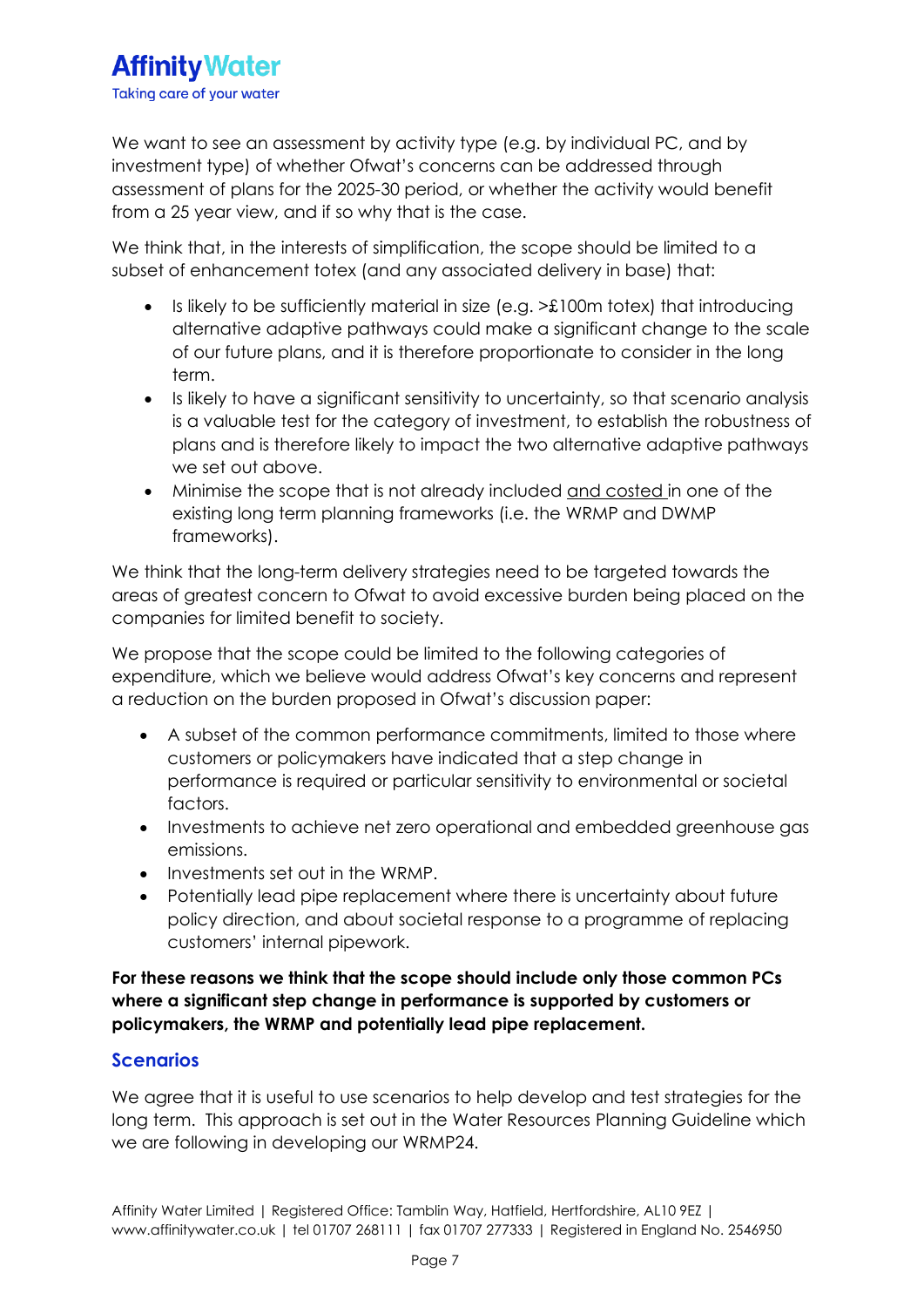We want to see an assessment by activity type (e.g. by individual PC, and by investment type) of whether Ofwat's concerns can be addressed through assessment of plans for the 2025-30 period, or whether the activity would benefit from a 25 year view, and if so why that is the case.

We think that, in the interests of simplification, the scope should be limited to a subset of enhancement totex (and any associated delivery in base) that:

- Is likely to be sufficiently material in size (e.g. >£100m totex) that introducing alternative adaptive pathways could make a significant change to the scale of our future plans, and it is therefore proportionate to consider in the long term.
- Is likely to have a significant sensitivity to uncertainty, so that scenario analysis is a valuable test for the category of investment, to establish the robustness of plans and is therefore likely to impact the two alternative adaptive pathways we set out above.
- Minimise the scope that is not already included and costed in one of the existing long term planning frameworks (i.e. the WRMP and DWMP frameworks).

We think that the long-term delivery strategies need to be targeted towards the areas of greatest concern to Ofwat to avoid excessive burden being placed on the companies for limited benefit to society.

We propose that the scope could be limited to the following categories of expenditure, which we believe would address Ofwat's key concerns and represent a reduction on the burden proposed in Ofwat's discussion paper:

- A subset of the common performance commitments, limited to those where customers or policymakers have indicated that a step change in performance is required or particular sensitivity to environmental or societal factors.
- Investments to achieve net zero operational and embedded greenhouse gas emissions.
- Investments set out in the WRMP.
- Potentially lead pipe replacement where there is uncertainty about future policy direction, and about societal response to a programme of replacing customers' internal pipework.

**For these reasons we think that the scope should include only those common PCs where a significant step change in performance is supported by customers or policymakers, the WRMP and potentially lead pipe replacement.**

## **Scenarios**

We agree that it is useful to use scenarios to help develop and test strategies for the long term. This approach is set out in the Water Resources Planning Guideline which we are following in developing our WRMP24.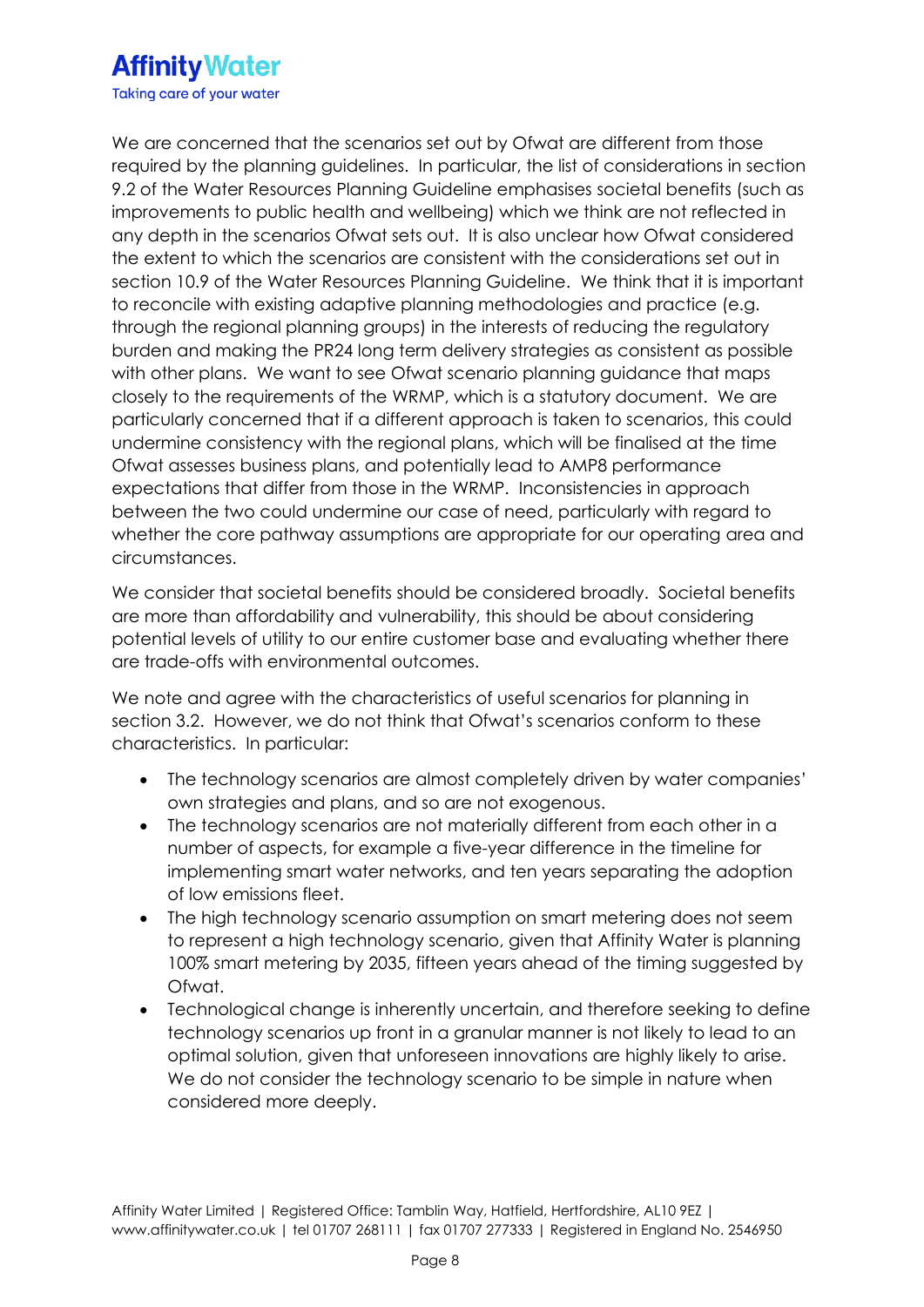# **Affinity Water** Taking care of your water

We are concerned that the scenarios set out by Ofwat are different from those required by the planning guidelines. In particular, the list of considerations in section 9.2 of the Water Resources Planning Guideline emphasises societal benefits (such as improvements to public health and wellbeing) which we think are not reflected in any depth in the scenarios Ofwat sets out. It is also unclear how Ofwat considered the extent to which the scenarios are consistent with the considerations set out in section 10.9 of the Water Resources Planning Guideline. We think that it is important to reconcile with existing adaptive planning methodologies and practice (e.g. through the regional planning groups) in the interests of reducing the regulatory burden and making the PR24 long term delivery strategies as consistent as possible with other plans. We want to see Ofwat scenario planning guidance that maps closely to the requirements of the WRMP, which is a statutory document. We are particularly concerned that if a different approach is taken to scenarios, this could undermine consistency with the regional plans, which will be finalised at the time Ofwat assesses business plans, and potentially lead to AMP8 performance expectations that differ from those in the WRMP. Inconsistencies in approach between the two could undermine our case of need, particularly with regard to whether the core pathway assumptions are appropriate for our operating area and circumstances.

We consider that societal benefits should be considered broadly. Societal benefits are more than affordability and vulnerability, this should be about considering potential levels of utility to our entire customer base and evaluating whether there are trade-offs with environmental outcomes.

We note and agree with the characteristics of useful scenarios for planning in section 3.2. However, we do not think that Ofwat's scenarios conform to these characteristics. In particular:

- The technology scenarios are almost completely driven by water companies' own strategies and plans, and so are not exogenous.
- The technology scenarios are not materially different from each other in a number of aspects, for example a five-year difference in the timeline for implementing smart water networks, and ten years separating the adoption of low emissions fleet.
- The high technology scenario assumption on smart metering does not seem to represent a high technology scenario, given that Affinity Water is planning 100% smart metering by 2035, fifteen years ahead of the timing suggested by Ofwat.
- Technological change is inherently uncertain, and therefore seeking to define technology scenarios up front in a granular manner is not likely to lead to an optimal solution, given that unforeseen innovations are highly likely to arise. We do not consider the technology scenario to be simple in nature when considered more deeply.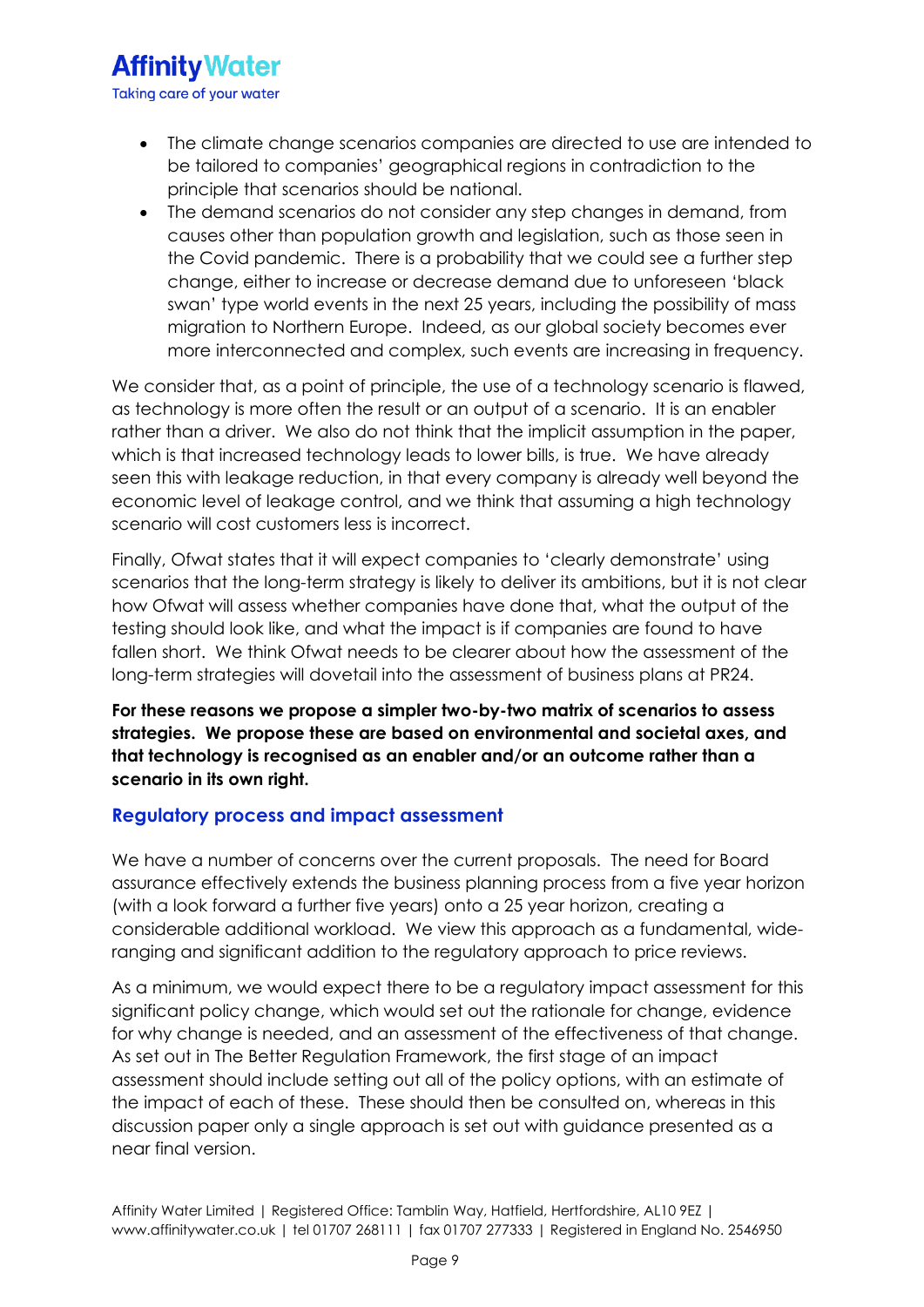- The climate change scenarios companies are directed to use are intended to be tailored to companies' geographical regions in contradiction to the principle that scenarios should be national.
- The demand scenarios do not consider any step changes in demand, from causes other than population growth and legislation, such as those seen in the Covid pandemic. There is a probability that we could see a further step change, either to increase or decrease demand due to unforeseen 'black swan' type world events in the next 25 years, including the possibility of mass migration to Northern Europe. Indeed, as our global society becomes ever more interconnected and complex, such events are increasing in frequency.

We consider that, as a point of principle, the use of a technology scenario is flawed, as technology is more often the result or an output of a scenario. It is an enabler rather than a driver. We also do not think that the implicit assumption in the paper, which is that increased technology leads to lower bills, is true. We have already seen this with leakage reduction, in that every company is already well beyond the economic level of leakage control, and we think that assuming a high technology scenario will cost customers less is incorrect.

Finally, Ofwat states that it will expect companies to 'clearly demonstrate' using scenarios that the long-term strategy is likely to deliver its ambitions, but it is not clear how Ofwat will assess whether companies have done that, what the output of the testing should look like, and what the impact is if companies are found to have fallen short. We think Ofwat needs to be clearer about how the assessment of the long-term strategies will dovetail into the assessment of business plans at PR24.

**For these reasons we propose a simpler two-by-two matrix of scenarios to assess strategies. We propose these are based on environmental and societal axes, and that technology is recognised as an enabler and/or an outcome rather than a scenario in its own right.** 

### **Regulatory process and impact assessment**

We have a number of concerns over the current proposals. The need for Board assurance effectively extends the business planning process from a five year horizon (with a look forward a further five years) onto a 25 year horizon, creating a considerable additional workload. We view this approach as a fundamental, wideranging and significant addition to the regulatory approach to price reviews.

As a minimum, we would expect there to be a regulatory impact assessment for this significant policy change, which would set out the rationale for change, evidence for why change is needed, and an assessment of the effectiveness of that change. As set out in The Better Regulation Framework, the first stage of an impact assessment should include setting out all of the policy options, with an estimate of the impact of each of these. These should then be consulted on, whereas in this discussion paper only a single approach is set out with guidance presented as a near final version.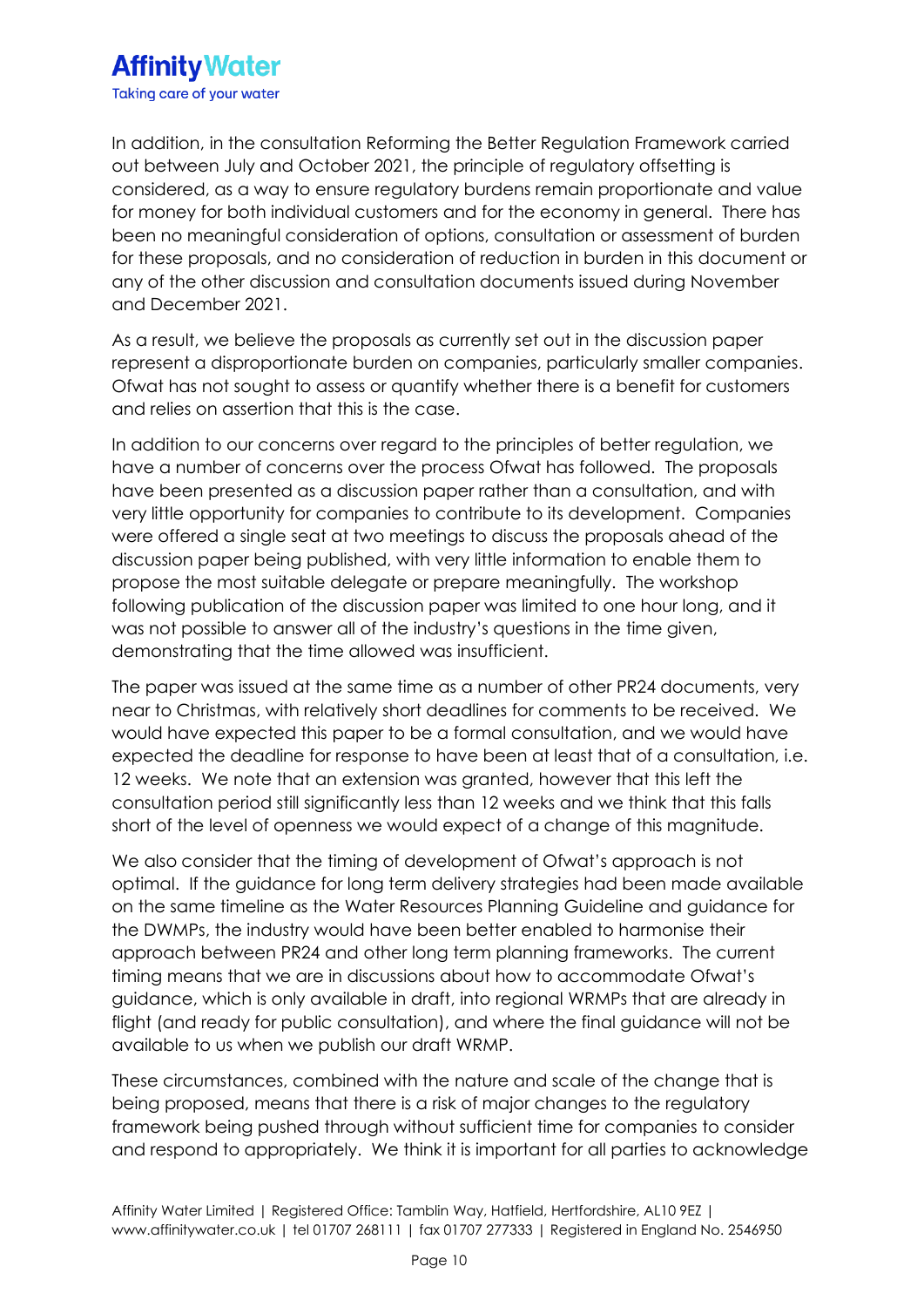# **Affinity Water** Taking care of your water

In addition, in the consultation Reforming the Better Regulation Framework carried out between July and October 2021, the principle of regulatory offsetting is considered, as a way to ensure regulatory burdens remain proportionate and value for money for both individual customers and for the economy in general. There has been no meaningful consideration of options, consultation or assessment of burden for these proposals, and no consideration of reduction in burden in this document or any of the other discussion and consultation documents issued during November and December 2021.

As a result, we believe the proposals as currently set out in the discussion paper represent a disproportionate burden on companies, particularly smaller companies. Ofwat has not sought to assess or quantify whether there is a benefit for customers and relies on assertion that this is the case.

In addition to our concerns over regard to the principles of better regulation, we have a number of concerns over the process Ofwat has followed. The proposals have been presented as a discussion paper rather than a consultation, and with very little opportunity for companies to contribute to its development. Companies were offered a single seat at two meetings to discuss the proposals ahead of the discussion paper being published, with very little information to enable them to propose the most suitable delegate or prepare meaningfully. The workshop following publication of the discussion paper was limited to one hour long, and it was not possible to answer all of the industry's questions in the time given, demonstrating that the time allowed was insufficient.

The paper was issued at the same time as a number of other PR24 documents, very near to Christmas, with relatively short deadlines for comments to be received. We would have expected this paper to be a formal consultation, and we would have expected the deadline for response to have been at least that of a consultation, i.e. 12 weeks. We note that an extension was granted, however that this left the consultation period still significantly less than 12 weeks and we think that this falls short of the level of openness we would expect of a change of this magnitude.

We also consider that the timing of development of Ofwat's approach is not optimal. If the guidance for long term delivery strategies had been made available on the same timeline as the Water Resources Planning Guideline and guidance for the DWMPs, the industry would have been better enabled to harmonise their approach between PR24 and other long term planning frameworks. The current timing means that we are in discussions about how to accommodate Ofwat's guidance, which is only available in draft, into regional WRMPs that are already in flight (and ready for public consultation), and where the final guidance will not be available to us when we publish our draft WRMP.

These circumstances, combined with the nature and scale of the change that is being proposed, means that there is a risk of major changes to the regulatory framework being pushed through without sufficient time for companies to consider and respond to appropriately. We think it is important for all parties to acknowledge